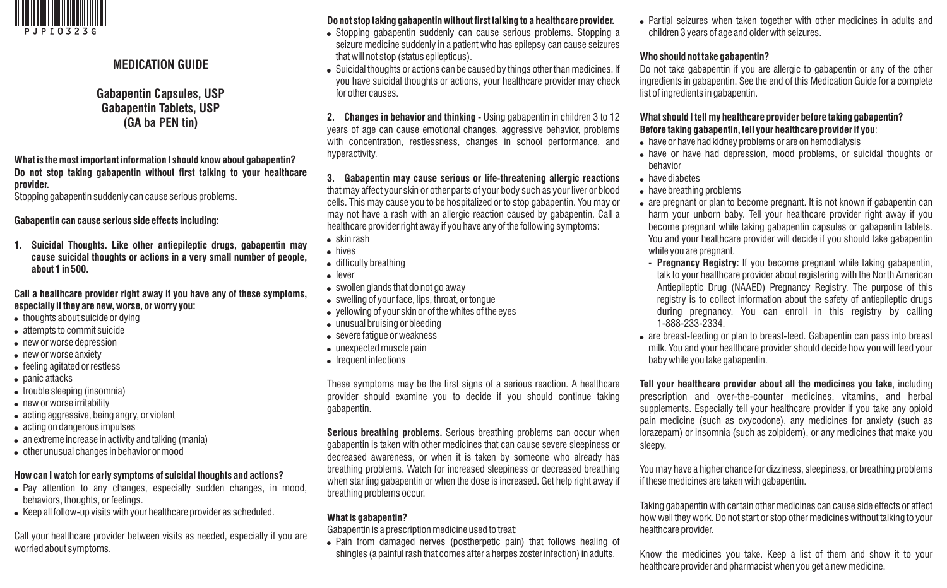

## **MEDICATION GUIDE**

**Gabapentin Capsules, USP Gabapentin Tablets, USP (GA ba PEN tin)**

**What is the most important information I should know about gabapentin? Do not stop taking gabapentin without first talking to your healthcare provider.** 

Stopping gabapentin suddenly can cause serious problems.

**Gabapentin can cause serious side effects including:**

**1. Suicidal Thoughts. Like other antiepileptic drugs, gabapentin may cause suicidal thoughts or actions in a very small number of people, about 1 in 500.**

#### **Call a healthcare provider right away if you have any of these symptoms, especially if they are new, worse, or worry you:**

- $\bullet$  thoughts about suicide or dying
- attempts to commit suicide
- new or worse depression
- new or worse anxiety
- feeling agitated or restless
- panic attacks
- trouble sleeping (insomnia)
- new or worse irritability
- acting aggressive, being angry, or violent
- acting on dangerous impulses
- $\bullet$  an extreme increase in activity and talking (mania)
- other unusual changes in behavior or mood

### **How can I watch for early symptoms of suicidal thoughts and actions?**

- Pay attention to any changes, especially sudden changes, in mood, behaviors, thoughts, or feelings.
- Keep all follow-up visits with your healthcare provider as scheduled.

Call your healthcare provider between visits as needed, especially if you are worried about symptoms.

# **Do not stop taking gabapentin without first talking to a healthcare provider.**

- Stopping gabapentin suddenly can cause serious problems. Stopping a seizure medicine suddenly in a patient who has epilepsy can cause seizures that will not stop (status epilepticus).
- . Suicidal thoughts or actions can be caused by things other than medicines. If you have suicidal thoughts or actions, your healthcare provider may check for other causes.

**2. Changes in behavior and thinking -** Using gabapentin in children 3 to 12 years of age can cause emotional changes, aggressive behavior, problems with concentration, restlessness, changes in school performance, and hyperactivity.

**3. Gabapentin may cause serious or life-threatening allergic reactions**  that may affect your skin or other parts of your body such as your liver or blood cells. This may cause you to be hospitalized or to stop gabapentin. You may or may not have a rash with an allergic reaction caused by gabapentin. Call a healthcare provider right away if you have any of the following symptoms:

- $\bullet$  skin rash
- $\bullet$  hives
- difficulty breathing
- $•$  fever
- swollen glands that do not go away
- swelling of your face, lips, throat, or tongue
- $\bullet$  vellowing of your skin or of the whites of the eyes
- $\bullet$  unusual bruising or bleeding
- severe fatigue or weakness
- $\bullet$  unexpected muscle pain
- frequent infections

These symptoms may be the first signs of a serious reaction. A healthcare provider should examine you to decide if you should continue taking gabapentin.

**Serious breathing problems.** Serious breathing problems can occur when gabapentin is taken with other medicines that can cause severe sleepiness or decreased awareness, or when it is taken by someone who already has breathing problems. Watch for increased sleepiness or decreased breathing when starting gabapentin or when the dose is increased. Get help right away if breathing problems occur.

## **What is gabapentin?**

Gabapentin is a prescription medicine used to treat:

• Pain from damaged nerves (postherpetic pain) that follows healing of shingles (a painful rash that comes after a herpes zoster infection) in adults.

• Partial seizures when taken together with other medicines in adults and children 3 years of age and older with seizures.

#### **Who should not take gabapentin?**

Do not take gabapentin if you are allergic to gabapentin or any of the other ingredients in gabapentin. See the end of this Medication Guide for a complete list of ingredients in gabapentin.

### **What should I tell my healthcare provider before taking gabapentin? Before taking gabapentin, tell your healthcare provider if you**:

- have or have had kidney problems or are on hemodialysis
- have or have had depression, mood problems, or suicidal thoughts or behavior
- ! have diabetes
- have breathing problems
- are pregnant or plan to become pregnant. It is not known if gabapentin can harm your unborn baby. Tell your healthcare provider right away if you become pregnant while taking gabapentin capsules or gabapentin tablets. You and your healthcare provider will decide if you should take gabapentin while you are pregnant.
	- **Pregnancy Registry:** If you become pregnant while taking gabapentin, talk to your healthcare provider about registering with the North American Antiepileptic Drug (NAAED) Pregnancy Registry. The purpose of this registry is to collect information about the safety of antiepileptic drugs during pregnancy. You can enroll in this registry by calling 1-888-233-2334.
- are breast-feeding or plan to breast-feed. Gabapentin can pass into breast milk. You and your healthcare provider should decide how you will feed your baby while you take gabapentin.

**Tell your healthcare provider about all the medicines you take**, including prescription and over-the-counter medicines, vitamins, and herbal supplements. Especially tell your healthcare provider if you take any opioid pain medicine (such as oxycodone), any medicines for anxiety (such as lorazepam) or insomnia (such as zolpidem), or any medicines that make you sleepy.

You may have a higher chance for dizziness, sleepiness, or breathing problems if these medicines are taken with gabapentin.

Taking gabapentin with certain other medicines can cause side effects or affect how well they work. Do not start or stop other medicines without talking to your healthcare provider.

Know the medicines you take. Keep a list of them and show it to your healthcare provider and pharmacist when you get a new medicine.